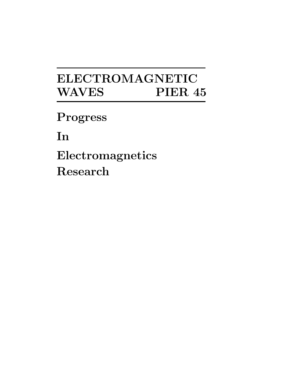# **ELECTROMAGNETIC WAVES PIER 45**

**Progress**

**In**

**Electromagnetics Research**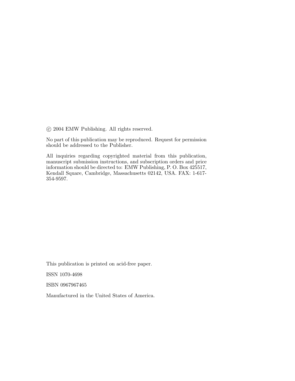c 2004 EMW Publishing. All rights reserved.

No part of this publication may be reproduced. Request for permission should be addressed to the Publisher.

All inquiries regarding copyrighted material from this publication, manuscript submission instructions, and subscription orders and price information should be directed to: EMW Publishing, P. O. Box 425517, Kendall Square, Cambridge, Massachusetts 02142, USA. FAX: 1-617- 354-9597.

This publication is printed on acid-free paper.

ISSN 1070-4698

ISBN 0967967465

Manufactured in the United States of America.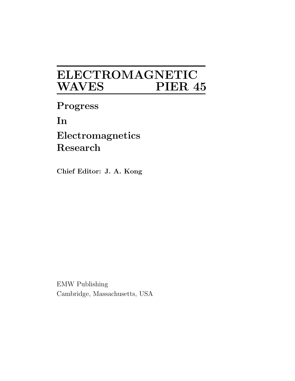## **ELECTROMAGNETIC WAVES PIER 45**

**Progress In Electromagnetics Research**

**Chief Editor: J. A. Kong** 

EMW Publishing Cambridge, Massachusetts, USA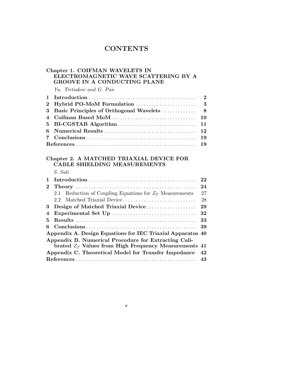## **CONTENTS**

## **Chapter 1. COIFMAN WAVELETS IN ELECTROMAGNETIC WAVE SCATTERING BY A GROOVE IN A CONDUCTING PLANE**

Yu. Tretiakov and G. Pan

## **Chapter 2. A MATCHED TRIAXIAL DEVICE FOR CABLE SHIELDING MEASUREMENTS**

S. Sali

|    | $Introduction \dots \dots \dots \dots \dots \dots \dots \dots \dots \dots \dots \dots \dots \dots \dots$ | 22 |
|----|----------------------------------------------------------------------------------------------------------|----|
|    |                                                                                                          | 24 |
|    | Reduction of Coupling Equations for $Z_T$ Measurements<br>2.1                                            | 27 |
|    | 2.2                                                                                                      | 28 |
| 3. | Design of Matched Triaxial Device                                                                        | 29 |
| 4  |                                                                                                          | 32 |
| 5. |                                                                                                          | 33 |
| 6  |                                                                                                          | 39 |
|    | Appendix A. Design Equations for IEC Triaxial Apparatus 40                                               |    |
|    | Appendix B. Numerical Procedure for Extracting Cali-                                                     |    |
|    | brated $Z_T$ Values from High Frequency Measurements 41                                                  |    |
|    | Appendix C. Theoretical Model for Transfer Impedance                                                     | 42 |
|    |                                                                                                          |    |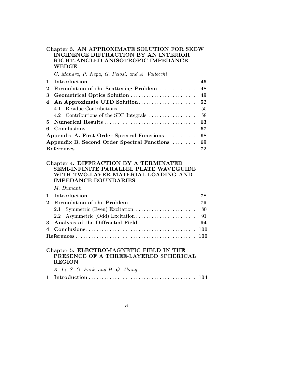#### **Chapter 3. AN APPROXIMATE SOLUTION FOR SKEW INCIDENCE DIFFRACTION BY AN INTERIOR RIGHT-ANGLED ANISOTROPIC IMPEDANCE WEDGE**

G. Manara, P. Nepa, G. Pelosi, and A. Vallecchi

| 2 Formulation of the Scattering Problem  48 |  |
|---------------------------------------------|--|
|                                             |  |
|                                             |  |
|                                             |  |
|                                             |  |
|                                             |  |
|                                             |  |
|                                             |  |
|                                             |  |
|                                             |  |
|                                             |  |

#### **Chapter 4. DIFFRACTION BY A TERMINATED SEMI-INFINITE PARALLEL PLATE WAVEGUIDE WITH TWO-LAYER MATERIAL LOADING AND IMPEDANCE BOUNDARIES**

M. Dumanlı

## **Chapter 5. ELECTROMAGNETIC FIELD IN THE PRESENCE OF A THREE-LAYERED SPHERICAL REGION**

K. Li, S.-O. Park, and H.-Q. Zhang

|--|--|--|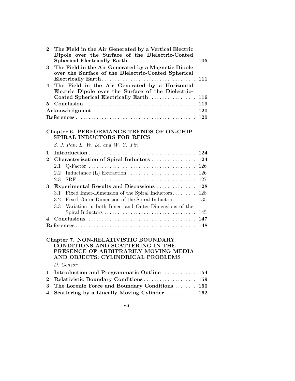| $\overline{2}$ | The Field in the Air Generated by a Vertical Electric<br>Dipole over the Surface of the Dielectric-Coated<br>Spherical Electrically Earth                          | 105 |
|----------------|--------------------------------------------------------------------------------------------------------------------------------------------------------------------|-----|
| 3              | The Field in the Air Generated by a Magnetic Dipole<br>over the Surface of the Dielectric-Coated Spherical                                                         | 111 |
| 4              | The Field in the Air Generated by a Horizontal<br>Electric Dipole over the Surface of the Dielectric-                                                              |     |
|                | Coated Spherical Electrically Earth                                                                                                                                | 116 |
| 5              |                                                                                                                                                                    | 119 |
|                |                                                                                                                                                                    | 120 |
|                |                                                                                                                                                                    | 120 |
|                | Chapter 6. PERFORMANCE TRENDS OF ON-CHIP<br>SPIRAL INDUCTORS FOR RFICS                                                                                             |     |
|                | S. J. Pan, L. W. Li, and W. Y. Yin                                                                                                                                 |     |
| 1              |                                                                                                                                                                    | 124 |
| $\bf{2}$       | Characterization of Spiral Inductors                                                                                                                               | 124 |
|                | 2.1                                                                                                                                                                | 126 |
|                | Inductance $(L)$ Extraction $\ldots \ldots \ldots \ldots \ldots \ldots \ldots$<br>2.2                                                                              | 126 |
|                | 2.3                                                                                                                                                                | 127 |
| 3              | Experimental Results and Discussions                                                                                                                               | 128 |
|                | Fixed Inner-Dimension of the Spiral Inductors<br>3.1                                                                                                               | 128 |
|                | 3.2<br>Fixed Outer-Dimension of the Spiral Inductors                                                                                                               | 135 |
|                | Variation in both Inner- and Outer-Dimensions of the<br>3.3                                                                                                        |     |
|                |                                                                                                                                                                    | 145 |
| 4              |                                                                                                                                                                    |     |
|                |                                                                                                                                                                    |     |
|                | Chapter 7. NON-RELATIVISTIC BOUNDARY<br>CONDITIONS AND SCATTERING IN THE<br>PRESENCE OF ARBITRARILY MOVING MEDIA<br>AND OBJECTS: CYLINDRICAL PROBLEMS<br>D. Censor |     |

| 1 Introduction and Programmatic Outline  154     |  |
|--------------------------------------------------|--|
|                                                  |  |
| 3 The Lorentz Force and Boundary Conditions  160 |  |
| 4 Scattering by a Lineally Moving Cylinder 162   |  |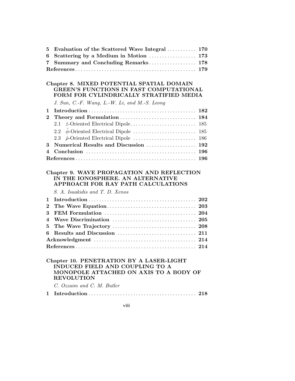| 5 | Evaluation of the Scattered Wave Integral  170                                                                                                                           |            |
|---|--------------------------------------------------------------------------------------------------------------------------------------------------------------------------|------------|
| 6 | Scattering by a Medium in Motion  173                                                                                                                                    |            |
| 7 | Summary and Concluding Remarks 178                                                                                                                                       |            |
|   |                                                                                                                                                                          |            |
|   |                                                                                                                                                                          |            |
|   | Chapter 8. MIXED POTENTIAL SPATIAL DOMAIN<br>GREEN'S FUNCTIONS IN FAST COMPUTATIONAL<br>FORM FOR CYLINDRICALLY STRATIFIED MEDIA                                          |            |
|   | J. Sun, C.-F. Wang, L.-W. Li, and M.-S. Leong                                                                                                                            |            |
| 1 |                                                                                                                                                                          | 182        |
| 2 |                                                                                                                                                                          | 184        |
|   | 2.1                                                                                                                                                                      | 185        |
|   | 2.2                                                                                                                                                                      | 185        |
|   | 2.3                                                                                                                                                                      | 186        |
| 3 | Numerical Results and Discussion                                                                                                                                         | 192        |
| 4 |                                                                                                                                                                          | <b>196</b> |
|   |                                                                                                                                                                          |            |
|   |                                                                                                                                                                          |            |
|   | Chapter 9. WAVE PROPAGATION AND REFLECTION                                                                                                                               |            |
|   | IN THE IONOSPHERE. AN ALTERNATIVE                                                                                                                                        |            |
|   | APPROACH FOR RAY PATH CALCULATIONS                                                                                                                                       |            |
|   | S. A. Isaakidis and T. D. Xenos                                                                                                                                          |            |
| 1 |                                                                                                                                                                          |            |
| 2 |                                                                                                                                                                          |            |
|   |                                                                                                                                                                          |            |
| 3 |                                                                                                                                                                          |            |
| 4 |                                                                                                                                                                          |            |
| 5 |                                                                                                                                                                          |            |
| 6 |                                                                                                                                                                          |            |
|   |                                                                                                                                                                          |            |
|   |                                                                                                                                                                          |            |
|   | Chapter 10. PENETRATION BY A LASER-LIGHT<br>INDUCED FIELD AND COUPLING TO A<br>MONOPOLE ATTACHED ON AXIS TO A BODY OF<br><b>REVOLUTION</b><br>C. Ozzaim and C. M. Butler |            |
| 1 |                                                                                                                                                                          |            |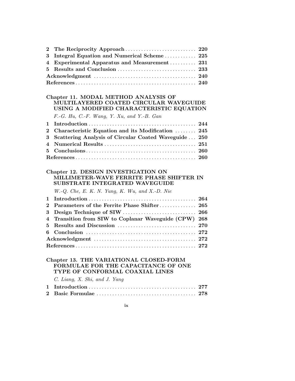| 3 Integral Equation and Numerical Scheme 225  |  |
|-----------------------------------------------|--|
| 4 Experimental Apparatus and Measurement  231 |  |
|                                               |  |
|                                               |  |
|                                               |  |

## **Chapter 11. MODAL METHOD ANALYSIS OF MULTILAYERED COATED CIRCULAR WAVEGUIDE USING A MODIFIED CHARACTERISTIC EQUATION**

F.-G. Hu, C.-F. Wang, Y. Xu, and Y.-B. Gan

| 2 Characteristic Equation and its Modification  245     |  |
|---------------------------------------------------------|--|
| 3 Scattering Analysis of Circular Coated Waveguide  250 |  |
|                                                         |  |
|                                                         |  |
|                                                         |  |

#### **Chapter 12. DESIGN INVESTIGATION ON MILLIMETER-WAVE FERRITE PHASE SHIFTER IN SUBSTRATE INTEGRATED WAVEGUIDE**

W.-Q. Che, E. K. N. Yung, K. Wu, and X.-D. Nie

| 2 Parameters of the Ferrite Phase Shifter 265         |  |
|-------------------------------------------------------|--|
|                                                       |  |
| 4 Transition from SIW to Coplanar Waveguide (CPW) 268 |  |
|                                                       |  |
|                                                       |  |
|                                                       |  |
|                                                       |  |

## **Chapter 13. THE VARIATIONAL CLOSED-FORM FORMULAE FOR THE CAPACITANCE OF ONE TYPE OF CONFORMAL COAXIAL LINES**

C. Liang, X. Shi, and J. Yang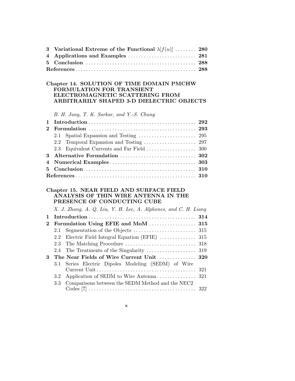|  | 3 Variational Extreme of the Functional $\lambda[f(u)]$ 280 |  |  |  |  |  |  |  |
|--|-------------------------------------------------------------|--|--|--|--|--|--|--|
|  |                                                             |  |  |  |  |  |  |  |
|  |                                                             |  |  |  |  |  |  |  |
|  |                                                             |  |  |  |  |  |  |  |
|  |                                                             |  |  |  |  |  |  |  |
|  | Chapter 14. SOLUTION OF TIME DOMAIN PMCHW                   |  |  |  |  |  |  |  |
|  | <b>EORMIILATION FOR TRANSIENT</b>                           |  |  |  |  |  |  |  |

## **FORMULATION FOR TRANSIENT ELECTROMAGNETIC SCATTERING FROM ARBITRARILY SHAPED 3-D DIELECTRIC OBJECTS**

B. H. Jung, T. K. Sarkar, and Y.-S. Chung

## **Chapter 15. NEAR FIELD AND SURFACE FIELD ANALYSIS OF THIN WIRE ANTENNA IN THE PRESENCE OF CONDUCTING CUBE**

|             |     | X. J. Zhang, A. Q. Liu, Y. H. Lee, A. Alphones, and C. H. Liang |  |
|-------------|-----|-----------------------------------------------------------------|--|
| $\mathbf 1$ |     |                                                                 |  |
|             |     | 2 Formulation Using EFIE and MoM  315                           |  |
|             |     |                                                                 |  |
|             |     | 2.2 Electric Field Integral Equation (EFIE)  315                |  |
|             |     |                                                                 |  |
|             |     |                                                                 |  |
| 3           |     | The Near Fields of Wire Current Unit 320                        |  |
|             | 3.1 | Series Electric Dipoles Modeling (SEDM) of Wire                 |  |
|             |     |                                                                 |  |
|             | 3.3 | Comparisons between the SEDM Method and the NEC2                |  |
|             |     |                                                                 |  |